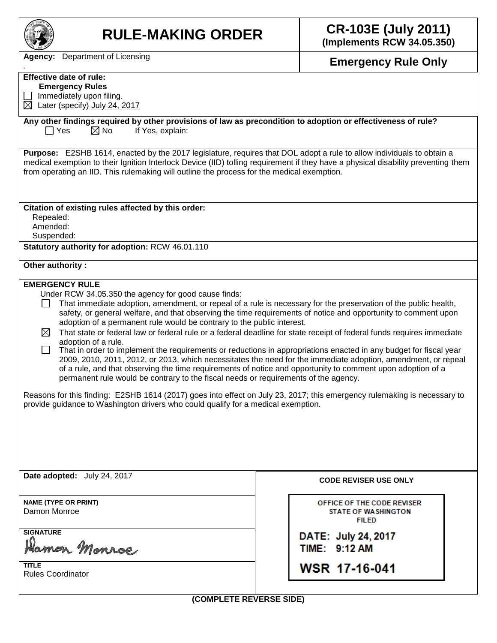| <b>RULE-MAKING ORDER</b>                                                                                                                                                                                                                                                                                                                                                                                                                                                                                                                                                                                                                                                                                                                                                                                                                                                                                                                                                                                                                                                                                                                                                                                                    | <b>CR-103E (July 2011)</b><br>(Implements RCW 34.05.350)                 |  |  |  |  |  |
|-----------------------------------------------------------------------------------------------------------------------------------------------------------------------------------------------------------------------------------------------------------------------------------------------------------------------------------------------------------------------------------------------------------------------------------------------------------------------------------------------------------------------------------------------------------------------------------------------------------------------------------------------------------------------------------------------------------------------------------------------------------------------------------------------------------------------------------------------------------------------------------------------------------------------------------------------------------------------------------------------------------------------------------------------------------------------------------------------------------------------------------------------------------------------------------------------------------------------------|--------------------------------------------------------------------------|--|--|--|--|--|
| <b>Agency:</b> Department of Licensing                                                                                                                                                                                                                                                                                                                                                                                                                                                                                                                                                                                                                                                                                                                                                                                                                                                                                                                                                                                                                                                                                                                                                                                      | <b>Emergency Rule Only</b>                                               |  |  |  |  |  |
| <b>Effective date of rule:</b><br><b>Emergency Rules</b><br>Immediately upon filing.<br>$\boxtimes$ Later (specify) July 24, 2017                                                                                                                                                                                                                                                                                                                                                                                                                                                                                                                                                                                                                                                                                                                                                                                                                                                                                                                                                                                                                                                                                           |                                                                          |  |  |  |  |  |
| Any other findings required by other provisions of law as precondition to adoption or effectiveness of rule?<br>$\boxtimes$ No<br>If Yes, explain:<br>$\Box$ Yes                                                                                                                                                                                                                                                                                                                                                                                                                                                                                                                                                                                                                                                                                                                                                                                                                                                                                                                                                                                                                                                            |                                                                          |  |  |  |  |  |
| Purpose: E2SHB 1614, enacted by the 2017 legislature, requires that DOL adopt a rule to allow individuals to obtain a<br>medical exemption to their Ignition Interlock Device (IID) tolling requirement if they have a physical disability preventing them<br>from operating an IID. This rulemaking will outline the process for the medical exemption.                                                                                                                                                                                                                                                                                                                                                                                                                                                                                                                                                                                                                                                                                                                                                                                                                                                                    |                                                                          |  |  |  |  |  |
| Citation of existing rules affected by this order:<br>Repealed:<br>Amended:<br>Suspended:                                                                                                                                                                                                                                                                                                                                                                                                                                                                                                                                                                                                                                                                                                                                                                                                                                                                                                                                                                                                                                                                                                                                   |                                                                          |  |  |  |  |  |
| Statutory authority for adoption: RCW 46.01.110                                                                                                                                                                                                                                                                                                                                                                                                                                                                                                                                                                                                                                                                                                                                                                                                                                                                                                                                                                                                                                                                                                                                                                             |                                                                          |  |  |  |  |  |
| Other authority:                                                                                                                                                                                                                                                                                                                                                                                                                                                                                                                                                                                                                                                                                                                                                                                                                                                                                                                                                                                                                                                                                                                                                                                                            |                                                                          |  |  |  |  |  |
| <b>EMERGENCY RULE</b><br>Under RCW 34.05.350 the agency for good cause finds:<br>That immediate adoption, amendment, or repeal of a rule is necessary for the preservation of the public health,<br>safety, or general welfare, and that observing the time requirements of notice and opportunity to comment upon<br>adoption of a permanent rule would be contrary to the public interest.<br>That state or federal law or federal rule or a federal deadline for state receipt of federal funds requires immediate<br>$\bowtie$<br>adoption of a rule.<br>That in order to implement the requirements or reductions in appropriations enacted in any budget for fiscal year<br>ப<br>2009, 2010, 2011, 2012, or 2013, which necessitates the need for the immediate adoption, amendment, or repeal<br>of a rule, and that observing the time requirements of notice and opportunity to comment upon adoption of a<br>permanent rule would be contrary to the fiscal needs or requirements of the agency.<br>Reasons for this finding: E2SHB 1614 (2017) goes into effect on July 23, 2017; this emergency rulemaking is necessary to<br>provide guidance to Washington drivers who could qualify for a medical exemption. |                                                                          |  |  |  |  |  |
| Date adopted: July 24, 2017                                                                                                                                                                                                                                                                                                                                                                                                                                                                                                                                                                                                                                                                                                                                                                                                                                                                                                                                                                                                                                                                                                                                                                                                 | <b>CODE REVISER USE ONLY</b>                                             |  |  |  |  |  |
| <b>NAME (TYPE OR PRINT)</b><br>Damon Monroe                                                                                                                                                                                                                                                                                                                                                                                                                                                                                                                                                                                                                                                                                                                                                                                                                                                                                                                                                                                                                                                                                                                                                                                 | OFFICE OF THE CODE REVISER<br><b>STATE OF WASHINGTON</b><br><b>FILED</b> |  |  |  |  |  |
| <b>SIGNATURE</b><br>Hamon Monroe                                                                                                                                                                                                                                                                                                                                                                                                                                                                                                                                                                                                                                                                                                                                                                                                                                                                                                                                                                                                                                                                                                                                                                                            | DATE: July 24, 2017<br>TIME: 9:12 AM                                     |  |  |  |  |  |
| <b>TITLE</b><br><b>Rules Coordinator</b>                                                                                                                                                                                                                                                                                                                                                                                                                                                                                                                                                                                                                                                                                                                                                                                                                                                                                                                                                                                                                                                                                                                                                                                    | <b>WSR 17-16-041</b>                                                     |  |  |  |  |  |
| (COMPLETE REVERSE SIDE)                                                                                                                                                                                                                                                                                                                                                                                                                                                                                                                                                                                                                                                                                                                                                                                                                                                                                                                                                                                                                                                                                                                                                                                                     |                                                                          |  |  |  |  |  |